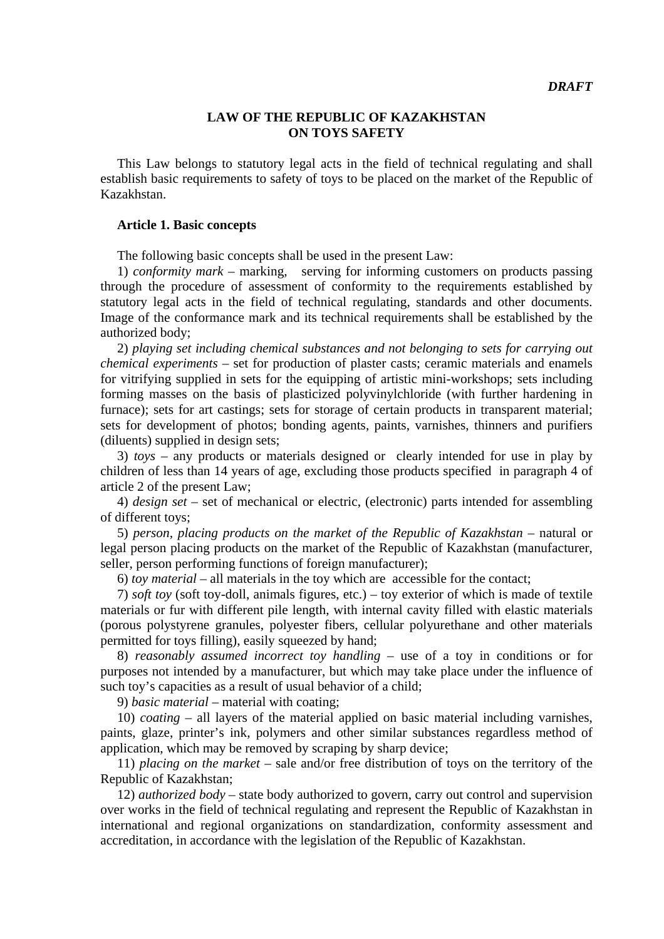# **LAW OF THE REPUBLIC OF KAZAKHSTAN ON TOYS SAFETY**

 This Law belongs to statutory legal acts in the field of technical regulating and shall establish basic requirements to safety of toys to be placed on the market of the Republic of Kazakhstan.

# **Article 1. Basic concepts**

The following basic concepts shall be used in the present Law:

 1) *conformity mark* – marking, serving for informing customers on products passing through the procedure of assessment of conformity to the requirements established by statutory legal acts in the field of technical regulating, standards and other documents. Image of the conformance mark and its technical requirements shall be established by the authorized body;

 2) *playing set including chemical substances and not belonging to sets for carrying out chemical experiments* – set for production of plaster casts; ceramic materials and enamels for vitrifying supplied in sets for the equipping of artistic mini-workshops; sets including forming masses on the basis of plasticized polyvinylchloride (with further hardening in furnace); sets for art castings; sets for storage of certain products in transparent material; sets for development of photos; bonding agents, paints, varnishes, thinners and purifiers (diluents) supplied in design sets;

 3) *toys* – any products or materials designed or clearly intended for use in play by children of less than 14 years of age, excluding those products specified in paragraph 4 of article 2 of the present Law;

 4) *design set* – set of mechanical or electric, (electronic) parts intended for assembling of different toys;

 5) *person, placing products on the market of the Republic of Kazakhstan* – natural or legal person placing products on the market of the Republic of Kazakhstan (manufacturer, seller, person performing functions of foreign manufacturer);

6) *toy material* – all materials in the toy which are accessible for the contact;

 7) *soft toy* (soft toy-doll, animals figures, etc.) – toy exterior of which is made of textile materials or fur with different pile length, with internal cavity filled with elastic materials (porous polystyrene granules, polyester fibers, cellular polyurethane and other materials permitted for toys filling), easily squeezed by hand;

 8) *reasonably assumed incorrect toy handling* – use of a toy in conditions or for purposes not intended by a manufacturer, but which may take place under the influence of such toy's capacities as a result of usual behavior of a child;

9) *basic material* – material with coating;

 10) *coating* – all layers of the material applied on basic material including varnishes, paints, glaze, printer's ink, polymers and other similar substances regardless method of application, which may be removed by scraping by sharp device;

 11) *placing on the market* – sale and/or free distribution of toys on the territory of the Republic of Kazakhstan;

 12) *authorized body* – state body authorized to govern, carry out control and supervision over works in the field of technical regulating and represent the Republic of Kazakhstan in international and regional organizations on standardization, conformity assessment and accreditation, in accordance with the legislation of the Republic of Kazakhstan.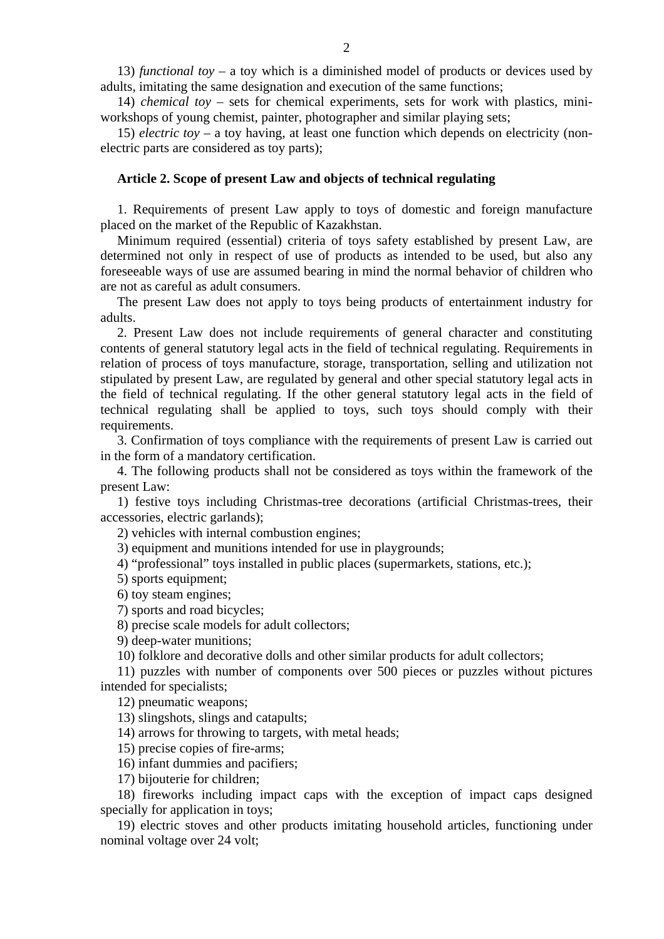13) *functional toy* – a toy which is a diminished model of products or devices used by adults, imitating the same designation and execution of the same functions;

 14) *chemical toy* – sets for chemical experiments, sets for work with plastics, miniworkshops of young chemist, painter, photographer and similar playing sets;

 15) *electric toy* – a toy having, at least one function which depends on electricity (nonelectric parts are considered as toy parts);

# **Article 2. Scope of present Law and objects of technical regulating**

 1. Requirements of present Law apply to toys of domestic and foreign manufacture placed on the market of the Republic of Kazakhstan.

 Minimum required (essential) criteria of toys safety established by present Law, are determined not only in respect of use of products as intended to be used, but also any foreseeable ways of use are assumed bearing in mind the normal behavior of children who are not as careful as adult consumers.

 The present Law does not apply to toys being products of entertainment industry for adults.

 2. Present Law does not include requirements of general character and constituting contents of general statutory legal acts in the field of technical regulating. Requirements in relation of process of toys manufacture, storage, transportation, selling and utilization not stipulated by present Law, are regulated by general and other special statutory legal acts in the field of technical regulating. If the other general statutory legal acts in the field of technical regulating shall be applied to toys, such toys should comply with their requirements.

 3. Confirmation of toys compliance with the requirements of present Law is carried out in the form of a mandatory certification.

 4. The following products shall not be considered as toys within the framework of the present Law:

 1) festive toys including Christmas-tree decorations (artificial Christmas-trees, their accessories, electric garlands);

2) vehicles with internal combustion engines;

3) equipment and munitions intended for use in playgrounds;

4) "professional" toys installed in public places (supermarkets, stations, etc.);

5) sports equipment;

6) toy steam engines;

7) sports and road bicycles;

8) precise scale models for adult collectors;

9) deep-water munitions;

10) folklore and decorative dolls and other similar products for adult collectors;

 11) puzzles with number of components over 500 pieces or puzzles without pictures intended for specialists;

12) pneumatic weapons;

13) slingshots, slings and catapults;

14) arrows for throwing to targets, with metal heads;

15) precise copies of fire-arms;

16) infant dummies and pacifiers;

17) bijouterie for children;

 18) fireworks including impact caps with the exception of impact caps designed specially for application in toys;

 19) electric stoves and other products imitating household articles, functioning under nominal voltage over 24 volt;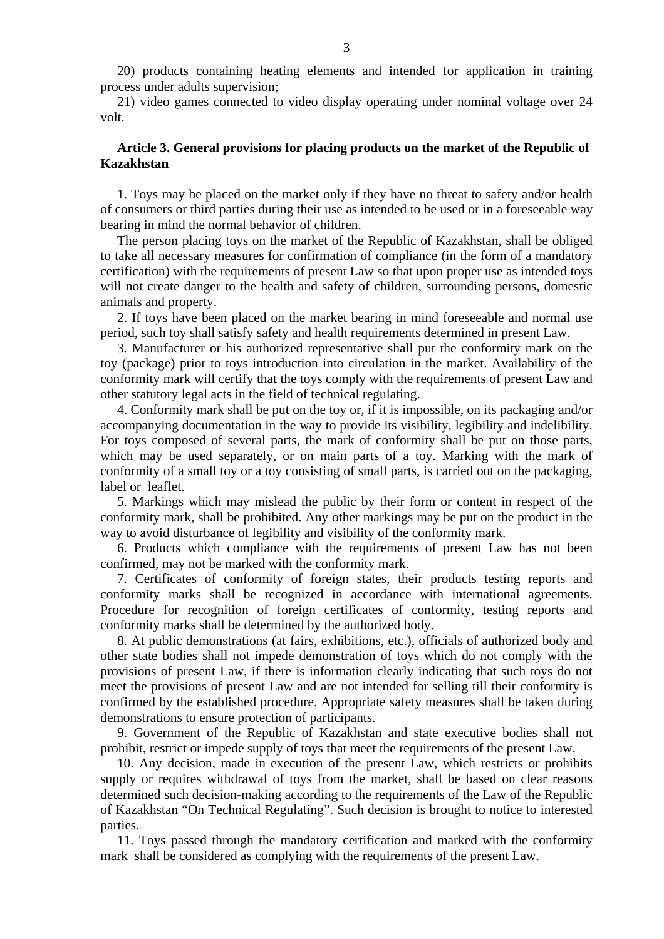20) products containing heating elements and intended for application in training process under adults supervision;

 21) video games connected to video display operating under nominal voltage over 24 volt.

# **Article 3. General provisions for placing products on the market of the Republic of Kazakhstan**

 1. Toys may be placed on the market only if they have no threat to safety and/or health of consumers or third parties during their use as intended to be used or in a foreseeable way bearing in mind the normal behavior of children.

 The person placing toys on the market of the Republic of Kazakhstan, shall be obliged to take all necessary measures for confirmation of compliance (in the form of a mandatory certification) with the requirements of present Law so that upon proper use as intended toys will not create danger to the health and safety of children, surrounding persons, domestic animals and property.

 2. If toys have been placed on the market bearing in mind foreseeable and normal use period, such toy shall satisfy safety and health requirements determined in present Law.

 3. Manufacturer or his authorized representative shall put the conformity mark on the toy (package) prior to toys introduction into circulation in the market. Availability of the conformity mark will certify that the toys comply with the requirements of present Law and other statutory legal acts in the field of technical regulating.

 4. Conformity mark shall be put on the toy or, if it is impossible, on its packaging and/or accompanying documentation in the way to provide its visibility, legibility and indelibility. For toys composed of several parts, the mark of conformity shall be put on those parts, which may be used separately, or on main parts of a toy. Marking with the mark of conformity of a small toy or a toy consisting of small parts, is carried out on the packaging, label or leaflet.

 5. Markings which may mislead the public by their form or content in respect of the conformity mark, shall be prohibited. Any other markings may be put on the product in the way to avoid disturbance of legibility and visibility of the conformity mark.

 6. Products which compliance with the requirements of present Law has not been confirmed, may not be marked with the conformity mark.

 7. Certificates of conformity of foreign states, their products testing reports and conformity marks shall be recognized in accordance with international agreements. Procedure for recognition of foreign certificates of conformity, testing reports and conformity marks shall be determined by the authorized body.

 8. At public demonstrations (at fairs, exhibitions, etc.), officials of authorized body and other state bodies shall not impede demonstration of toys which do not comply with the provisions of present Law, if there is information clearly indicating that such toys do not meet the provisions of present Law and are not intended for selling till their conformity is confirmed by the established procedure. Appropriate safety measures shall be taken during demonstrations to ensure protection of participants.

 9. Government of the Republic of Kazakhstan and state executive bodies shall not prohibit, restrict or impede supply of toys that meet the requirements of the present Law.

 10. Any decision, made in execution of the present Law, which restricts or prohibits supply or requires withdrawal of toys from the market, shall be based on clear reasons determined such decision-making according to the requirements of the Law of the Republic of Kazakhstan "On Technical Regulating". Such decision is brought to notice to interested parties.

 11. Toys passed through the mandatory certification and marked with the conformity mark shall be considered as complying with the requirements of the present Law.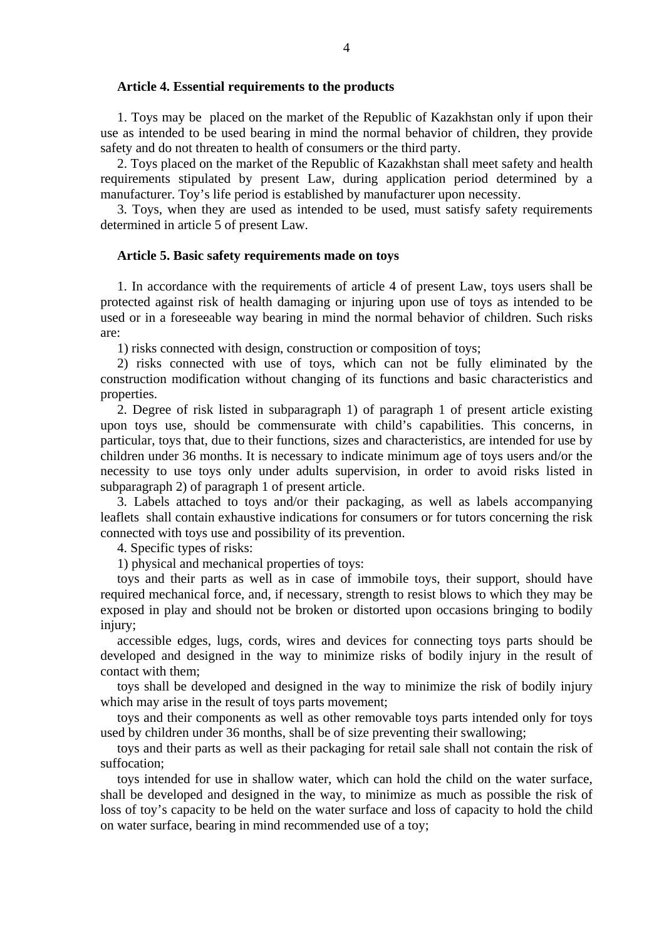## **Article 4. Essential requirements to the products**

 1. Toys may be placed on the market of the Republic of Kazakhstan only if upon their use as intended to be used bearing in mind the normal behavior of children, they provide safety and do not threaten to health of consumers or the third party.

 2. Toys placed on the market of the Republic of Kazakhstan shall meet safety and health requirements stipulated by present Law, during application period determined by a manufacturer. Toy's life period is established by manufacturer upon necessity.

 3. Toys, when they are used as intended to be used, must satisfy safety requirements determined in article 5 of present Law.

# **Article 5. Basic safety requirements made on toys**

 1. In accordance with the requirements of article 4 of present Law, toys users shall be protected against risk of health damaging or injuring upon use of toys as intended to be used or in a foreseeable way bearing in mind the normal behavior of children. Such risks are:

1) risks connected with design, construction or composition of toys;

 2) risks connected with use of toys, which can not be fully eliminated by the construction modification without changing of its functions and basic characteristics and properties.

 2. Degree of risk listed in subparagraph 1) of paragraph 1 of present article existing upon toys use, should be commensurate with child's capabilities. This concerns, in particular, toys that, due to their functions, sizes and characteristics, are intended for use by children under 36 months. It is necessary to indicate minimum age of toys users and/or the necessity to use toys only under adults supervision, in order to avoid risks listed in subparagraph 2) of paragraph 1 of present article.

 3. Labels attached to toys and/or their packaging, as well as labels accompanying leaflets shall contain exhaustive indications for consumers or for tutors concerning the risk connected with toys use and possibility of its prevention.

4. Specific types of risks:

1) physical and mechanical properties of toys:

 toys and their parts as well as in case of immobile toys, their support, should have required mechanical force, and, if necessary, strength to resist blows to which they may be exposed in play and should not be broken or distorted upon occasions bringing to bodily injury;

 accessible edges, lugs, cords, wires and devices for connecting toys parts should be developed and designed in the way to minimize risks of bodily injury in the result of contact with them;

 toys shall be developed and designed in the way to minimize the risk of bodily injury which may arise in the result of toys parts movement;

 toys and their components as well as other removable toys parts intended only for toys used by children under 36 months, shall be of size preventing their swallowing;

 toys and their parts as well as their packaging for retail sale shall not contain the risk of suffocation;

 toys intended for use in shallow water, which can hold the child on the water surface, shall be developed and designed in the way, to minimize as much as possible the risk of loss of toy's capacity to be held on the water surface and loss of capacity to hold the child on water surface, bearing in mind recommended use of a toy;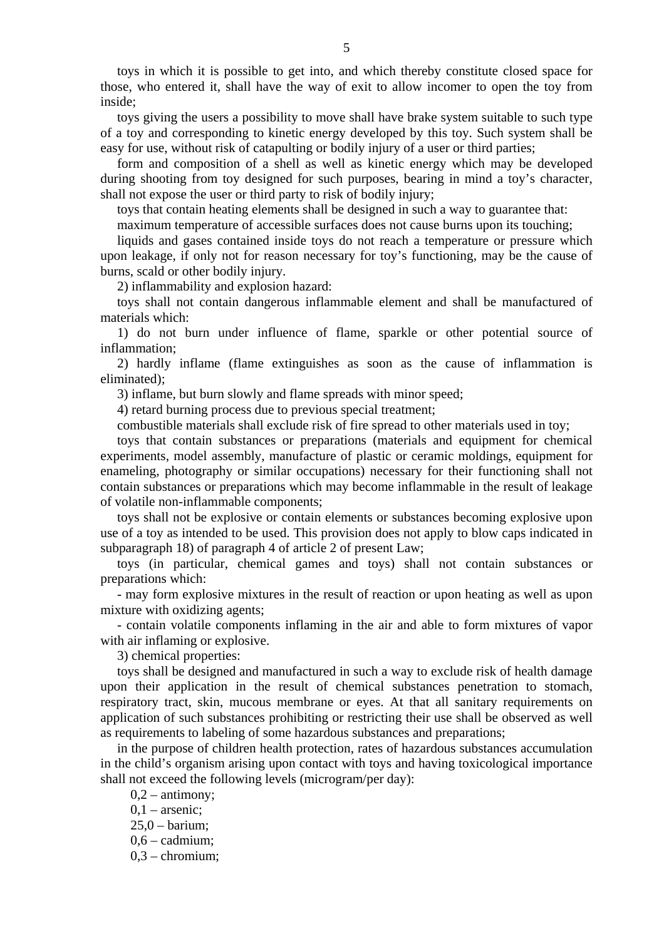toys in which it is possible to get into, and which thereby constitute closed space for those, who entered it, shall have the way of exit to allow incomer to open the toy from inside;

 toys giving the users a possibility to move shall have brake system suitable to such type of a toy and corresponding to kinetic energy developed by this toy. Such system shall be easy for use, without risk of catapulting or bodily injury of a user or third parties;

 form and composition of a shell as well as kinetic energy which may be developed during shooting from toy designed for such purposes, bearing in mind a toy's character, shall not expose the user or third party to risk of bodily injury;

toys that contain heating elements shall be designed in such a way to guarantee that:

maximum temperature of accessible surfaces does not cause burns upon its touching;

 liquids and gases contained inside toys do not reach a temperature or pressure which upon leakage, if only not for reason necessary for toy's functioning, may be the cause of burns, scald or other bodily injury.

2) inflammability and explosion hazard:

 toys shall not contain dangerous inflammable element and shall be manufactured of materials which:

 1) do not burn under influence of flame, sparkle or other potential source of inflammation;

 2) hardly inflame (flame extinguishes as soon as the cause of inflammation is eliminated);

3) inflame, but burn slowly and flame spreads with minor speed;

4) retard burning process due to previous special treatment;

combustible materials shall exclude risk of fire spread to other materials used in toy;

 toys that contain substances or preparations (materials and equipment for chemical experiments, model assembly, manufacture of plastic or ceramic moldings, equipment for enameling, photography or similar occupations) necessary for their functioning shall not contain substances or preparations which may become inflammable in the result of leakage of volatile non-inflammable components;

 toys shall not be explosive or contain elements or substances becoming explosive upon use of a toy as intended to be used. This provision does not apply to blow caps indicated in subparagraph 18) of paragraph 4 of article 2 of present Law;

 toys (in particular, chemical games and toys) shall not contain substances or preparations which:

 - may form explosive mixtures in the result of reaction or upon heating as well as upon mixture with oxidizing agents;

 - contain volatile components inflaming in the air and able to form mixtures of vapor with air inflaming or explosive.

3) chemical properties:

 toys shall be designed and manufactured in such a way to exclude risk of health damage upon their application in the result of chemical substances penetration to stomach, respiratory tract, skin, mucous membrane or eyes. At that all sanitary requirements on application of such substances prohibiting or restricting their use shall be observed as well as requirements to labeling of some hazardous substances and preparations;

 in the purpose of children health protection, rates of hazardous substances accumulation in the child's organism arising upon contact with toys and having toxicological importance shall not exceed the following levels (microgram/per day):

 $0,2 - antimony;$  $0,1$  – arsenic; 25,0 – barium; 0,6 – cadmium; 0,3 – chromium;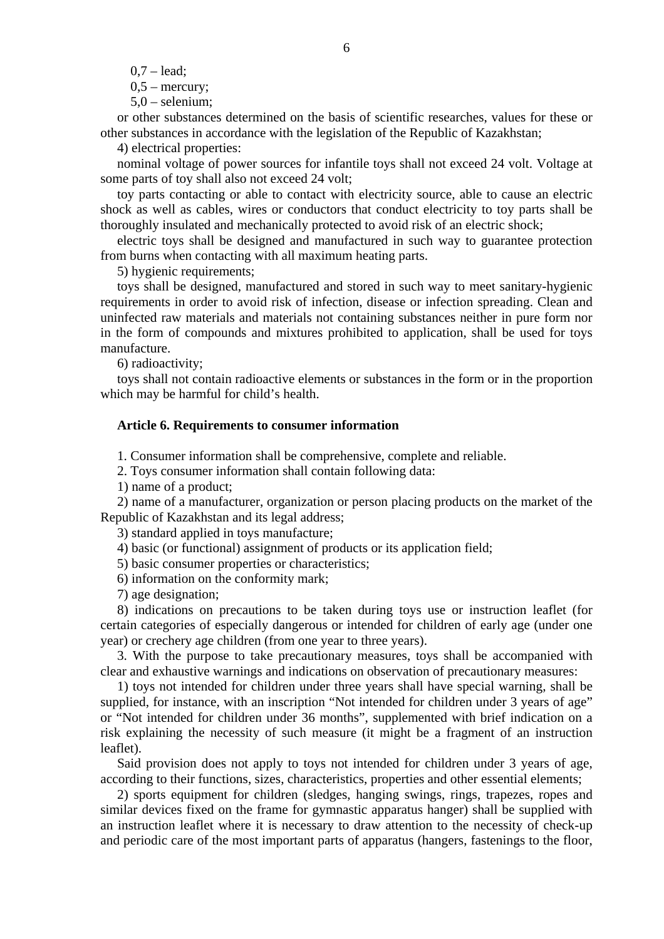$0.7 -$  lead;

 $0.5$  – mercury;

5,0 – selenium;

 or other substances determined on the basis of scientific researches, values for these or other substances in accordance with the legislation of the Republic of Kazakhstan;

4) electrical properties:

 nominal voltage of power sources for infantile toys shall not exceed 24 volt. Voltage at some parts of toy shall also not exceed 24 volt;

 toy parts contacting or able to contact with electricity source, able to cause an electric shock as well as cables, wires or conductors that conduct electricity to toy parts shall be thoroughly insulated and mechanically protected to avoid risk of an electric shock;

 electric toys shall be designed and manufactured in such way to guarantee protection from burns when contacting with all maximum heating parts.

5) hygienic requirements;

 toys shall be designed, manufactured and stored in such way to meet sanitary-hygienic requirements in order to avoid risk of infection, disease or infection spreading. Clean and uninfected raw materials and materials not containing substances neither in pure form nor in the form of compounds and mixtures prohibited to application, shall be used for toys manufacture.

6) radioactivity;

 toys shall not contain radioactive elements or substances in the form or in the proportion which may be harmful for child's health.

# **Article 6. Requirements to consumer information**

1. Consumer information shall be comprehensive, complete and reliable.

2. Toys consumer information shall contain following data:

1) name of a product;

 2) name of a manufacturer, organization or person placing products on the market of the Republic of Kazakhstan and its legal address;

3) standard applied in toys manufacture;

4) basic (or functional) assignment of products or its application field;

5) basic consumer properties or characteristics;

6) information on the conformity mark;

7) age designation;

 8) indications on precautions to be taken during toys use or instruction leaflet (for certain categories of especially dangerous or intended for children of early age (under one year) or crechery age children (from one year to three years).

 3. With the purpose to take precautionary measures, toys shall be accompanied with clear and exhaustive warnings and indications on observation of precautionary measures:

 1) toys not intended for children under three years shall have special warning, shall be supplied, for instance, with an inscription "Not intended for children under 3 years of age" or "Not intended for children under 36 months", supplemented with brief indication on a risk explaining the necessity of such measure (it might be a fragment of an instruction leaflet).

 Said provision does not apply to toys not intended for children under 3 years of age, according to their functions, sizes, characteristics, properties and other essential elements;

 2) sports equipment for children (sledges, hanging swings, rings, trapezes, ropes and similar devices fixed on the frame for gymnastic apparatus hanger) shall be supplied with an instruction leaflet where it is necessary to draw attention to the necessity of check-up and periodic care of the most important parts of apparatus (hangers, fastenings to the floor,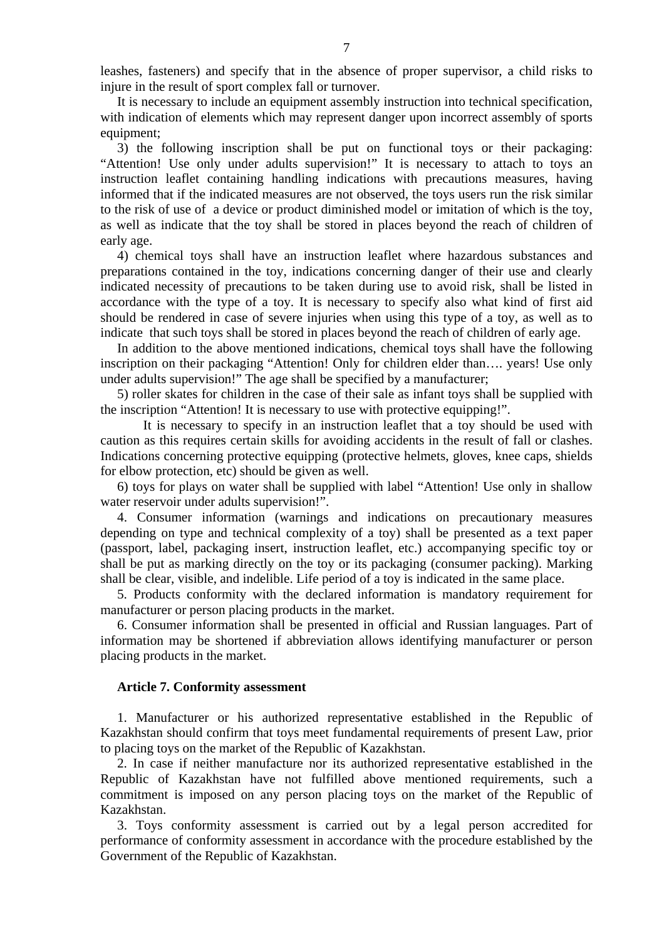leashes, fasteners) and specify that in the absence of proper supervisor, a child risks to injure in the result of sport complex fall or turnover.

 It is necessary to include an equipment assembly instruction into technical specification, with indication of elements which may represent danger upon incorrect assembly of sports equipment;

 3) the following inscription shall be put on functional toys or their packaging: "Attention! Use only under adults supervision!" It is necessary to attach to toys an instruction leaflet containing handling indications with precautions measures, having informed that if the indicated measures are not observed, the toys users run the risk similar to the risk of use of a device or product diminished model or imitation of which is the toy, as well as indicate that the toy shall be stored in places beyond the reach of children of early age.

 4) chemical toys shall have an instruction leaflet where hazardous substances and preparations contained in the toy, indications concerning danger of their use and clearly indicated necessity of precautions to be taken during use to avoid risk, shall be listed in accordance with the type of a toy. It is necessary to specify also what kind of first aid should be rendered in case of severe injuries when using this type of a toy, as well as to indicate that such toys shall be stored in places beyond the reach of children of early age.

 In addition to the above mentioned indications, chemical toys shall have the following inscription on their packaging "Attention! Only for children elder than…. years! Use only under adults supervision!" The age shall be specified by a manufacturer;

 5) roller skates for children in the case of their sale as infant toys shall be supplied with the inscription "Attention! It is necessary to use with protective equipping!".

 It is necessary to specify in an instruction leaflet that a toy should be used with caution as this requires certain skills for avoiding accidents in the result of fall or clashes. Indications concerning protective equipping (protective helmets, gloves, knee caps, shields for elbow protection, etc) should be given as well.

 6) toys for plays on water shall be supplied with label "Attention! Use only in shallow water reservoir under adults supervision!".

 4. Consumer information (warnings and indications on precautionary measures depending on type and technical complexity of a toy) shall be presented as a text paper (passport, label, packaging insert, instruction leaflet, etc.) accompanying specific toy or shall be put as marking directly on the toy or its packaging (consumer packing). Marking shall be clear, visible, and indelible. Life period of a toy is indicated in the same place.

 5. Products conformity with the declared information is mandatory requirement for manufacturer or person placing products in the market.

 6. Consumer information shall be presented in official and Russian languages. Part of information may be shortened if abbreviation allows identifying manufacturer or person placing products in the market.

#### **Article 7. Conformity assessment**

 1. Manufacturer or his authorized representative established in the Republic of Kazakhstan should confirm that toys meet fundamental requirements of present Law, prior to placing toys on the market of the Republic of Kazakhstan.

 2. In case if neither manufacture nor its authorized representative established in the Republic of Kazakhstan have not fulfilled above mentioned requirements, such a commitment is imposed on any person placing toys on the market of the Republic of Kazakhstan.

 3. Toys conformity assessment is carried out by a legal person accredited for performance of conformity assessment in accordance with the procedure established by the Government of the Republic of Kazakhstan.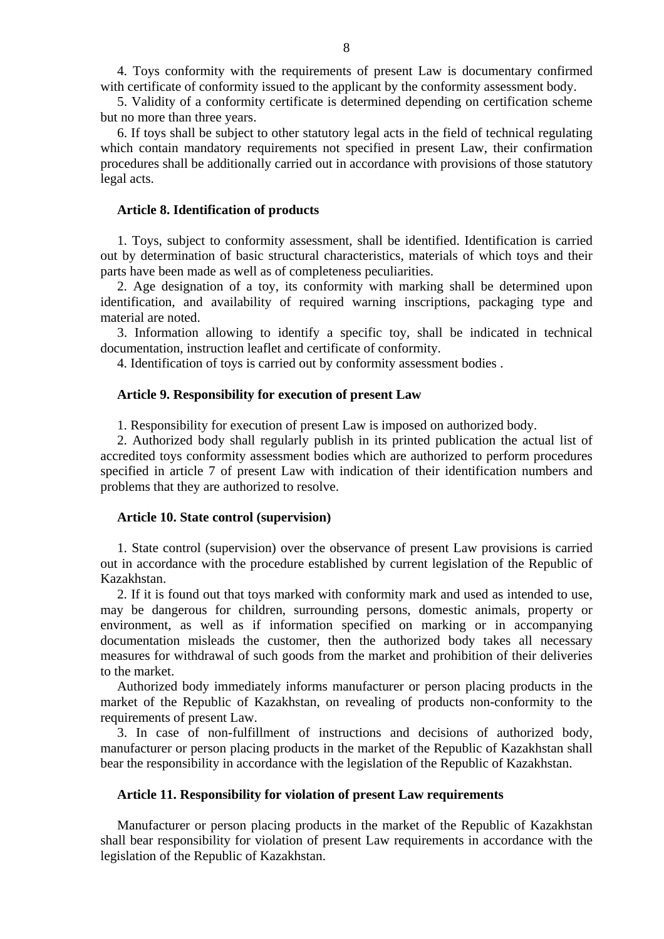4. Toys conformity with the requirements of present Law is documentary confirmed with certificate of conformity issued to the applicant by the conformity assessment body.

 5. Validity of a conformity certificate is determined depending on certification scheme but no more than three years.

 6. If toys shall be subject to other statutory legal acts in the field of technical regulating which contain mandatory requirements not specified in present Law, their confirmation procedures shall be additionally carried out in accordance with provisions of those statutory legal acts.

#### **Article 8. Identification of products**

 1. Toys, subject to conformity assessment, shall be identified. Identification is carried out by determination of basic structural characteristics, materials of which toys and their parts have been made as well as of completeness peculiarities.

 2. Age designation of a toy, its conformity with marking shall be determined upon identification, and availability of required warning inscriptions, packaging type and material are noted.

 3. Information allowing to identify a specific toy, shall be indicated in technical documentation, instruction leaflet and certificate of conformity.

4. Identification of toys is carried out by conformity assessment bodies .

#### **Article 9. Responsibility for execution of present Law**

1. Responsibility for execution of present Law is imposed on authorized body.

 2. Authorized body shall regularly publish in its printed publication the actual list of accredited toys conformity assessment bodies which are authorized to perform procedures specified in article 7 of present Law with indication of their identification numbers and problems that they are authorized to resolve.

## **Article 10. State control (supervision)**

 1. State control (supervision) over the observance of present Law provisions is carried out in accordance with the procedure established by current legislation of the Republic of Kazakhstan.

 2. If it is found out that toys marked with conformity mark and used as intended to use, may be dangerous for children, surrounding persons, domestic animals, property or environment, as well as if information specified on marking or in accompanying documentation misleads the customer, then the authorized body takes all necessary measures for withdrawal of such goods from the market and prohibition of their deliveries to the market.

 Authorized body immediately informs manufacturer or person placing products in the market of the Republic of Kazakhstan, on revealing of products non-conformity to the requirements of present Law.

 3. In case of non-fulfillment of instructions and decisions of authorized body, manufacturer or person placing products in the market of the Republic of Kazakhstan shall bear the responsibility in accordance with the legislation of the Republic of Kazakhstan.

# **Article 11. Responsibility for violation of present Law requirements**

Manufacturer or person placing products in the market of the Republic of Kazakhstan shall bear responsibility for violation of present Law requirements in accordance with the legislation of the Republic of Kazakhstan.